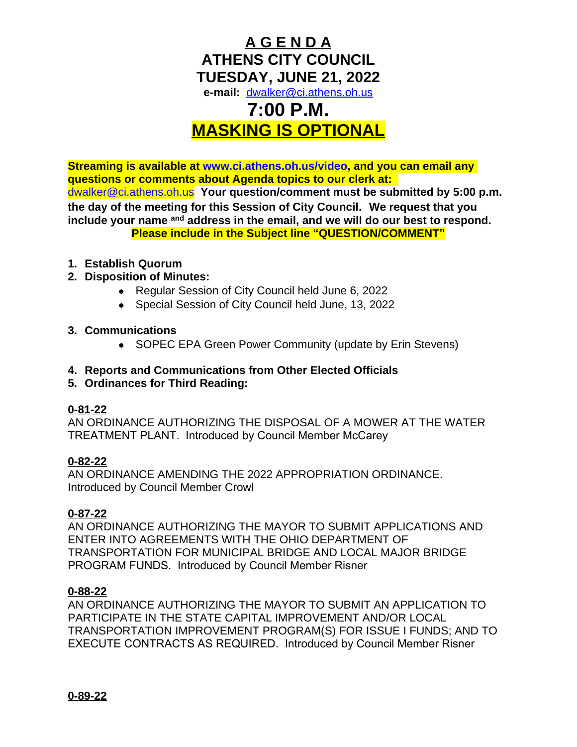# **A G E N D A ATHENS CITY COUNCIL TUESDAY, JUNE 21, 2022 e-mail:** [dwalker@ci.athens.oh.us](mailto:dwalker@ci.athens.oh.us) **7:00 P.M.**

# **MASKING IS OPTIONAL**

**Streaming is available at [www.ci.athens.oh.us/video,](http://www.ci.athens.oh.us/video) and you can email any questions or comments about Agenda topics to our clerk at:**  [dwalker@ci.athens.oh.us](mailto:dwalker@ci.athens.oh.us) **Your question/comment must be submitted by 5:00 p.m. the day of the meeting for this Session of City Council. We request that you include your name and address in the email, and we will do our best to respond. Please include in the Subject line "QUESTION/COMMENT"**

- **1. Establish Quorum**
- **2. Disposition of Minutes:**
	- Regular Session of City Council held June 6, 2022
	- Special Session of City Council held June, 13, 2022
- **3. Communications**
	- SOPEC EPA Green Power Community (update by Erin Stevens)
- **4. Reports and Communications from Other Elected Officials**
- **5. Ordinances for Third Reading:**

# **0-81-22**

AN ORDINANCE AUTHORIZING THE DISPOSAL OF A MOWER AT THE WATER TREATMENT PLANT. Introduced by Council Member McCarey

# **0-82-22**

AN ORDINANCE AMENDING THE 2022 APPROPRIATION ORDINANCE. Introduced by Council Member Crowl

# **0-87-22**

AN ORDINANCE AUTHORIZING THE MAYOR TO SUBMIT APPLICATIONS AND ENTER INTO AGREEMENTS WITH THE OHIO DEPARTMENT OF TRANSPORTATION FOR MUNICIPAL BRIDGE AND LOCAL MAJOR BRIDGE PROGRAM FUNDS. Introduced by Council Member Risner

#### **0-88-22**

AN ORDINANCE AUTHORIZING THE MAYOR TO SUBMIT AN APPLICATION TO PARTICIPATE IN THE STATE CAPITAL IMPROVEMENT AND/OR LOCAL TRANSPORTATION IMPROVEMENT PROGRAM(S) FOR ISSUE I FUNDS; AND TO EXECUTE CONTRACTS AS REQUIRED. Introduced by Council Member Risner

**0-89-22**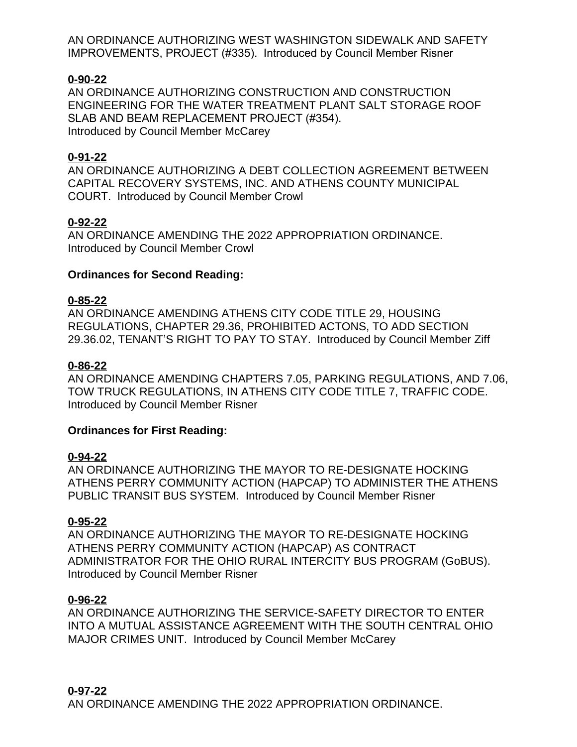AN ORDINANCE AUTHORIZING WEST WASHINGTON SIDEWALK AND SAFETY IMPROVEMENTS, PROJECT (#335). Introduced by Council Member Risner

#### **0-90-22**

AN ORDINANCE AUTHORIZING CONSTRUCTION AND CONSTRUCTION ENGINEERING FOR THE WATER TREATMENT PLANT SALT STORAGE ROOF SLAB AND BEAM REPLACEMENT PROJECT (#354). Introduced by Council Member McCarey

#### **0-91-22**

AN ORDINANCE AUTHORIZING A DEBT COLLECTION AGREEMENT BETWEEN CAPITAL RECOVERY SYSTEMS, INC. AND ATHENS COUNTY MUNICIPAL COURT. Introduced by Council Member Crowl

#### **0-92-22**

AN ORDINANCE AMENDING THE 2022 APPROPRIATION ORDINANCE. Introduced by Council Member Crowl

#### **Ordinances for Second Reading:**

#### **0-85-22**

AN ORDINANCE AMENDING ATHENS CITY CODE TITLE 29, HOUSING REGULATIONS, CHAPTER 29.36, PROHIBITED ACTONS, TO ADD SECTION 29.36.02, TENANT'S RIGHT TO PAY TO STAY. Introduced by Council Member Ziff

#### **0-86-22**

AN ORDINANCE AMENDING CHAPTERS 7.05, PARKING REGULATIONS, AND 7.06, TOW TRUCK REGULATIONS, IN ATHENS CITY CODE TITLE 7, TRAFFIC CODE. Introduced by Council Member Risner

#### **Ordinances for First Reading:**

#### **0-94-22**

AN ORDINANCE AUTHORIZING THE MAYOR TO RE-DESIGNATE HOCKING ATHENS PERRY COMMUNITY ACTION (HAPCAP) TO ADMINISTER THE ATHENS PUBLIC TRANSIT BUS SYSTEM. Introduced by Council Member Risner

# **0-95-22**

AN ORDINANCE AUTHORIZING THE MAYOR TO RE-DESIGNATE HOCKING ATHENS PERRY COMMUNITY ACTION (HAPCAP) AS CONTRACT ADMINISTRATOR FOR THE OHIO RURAL INTERCITY BUS PROGRAM (GoBUS). Introduced by Council Member Risner

#### **0-96-22**

AN ORDINANCE AUTHORIZING THE SERVICE-SAFETY DIRECTOR TO ENTER INTO A MUTUAL ASSISTANCE AGREEMENT WITH THE SOUTH CENTRAL OHIO MAJOR CRIMES UNIT. Introduced by Council Member McCarey

# **0-97-22**

AN ORDINANCE AMENDING THE 2022 APPROPRIATION ORDINANCE.